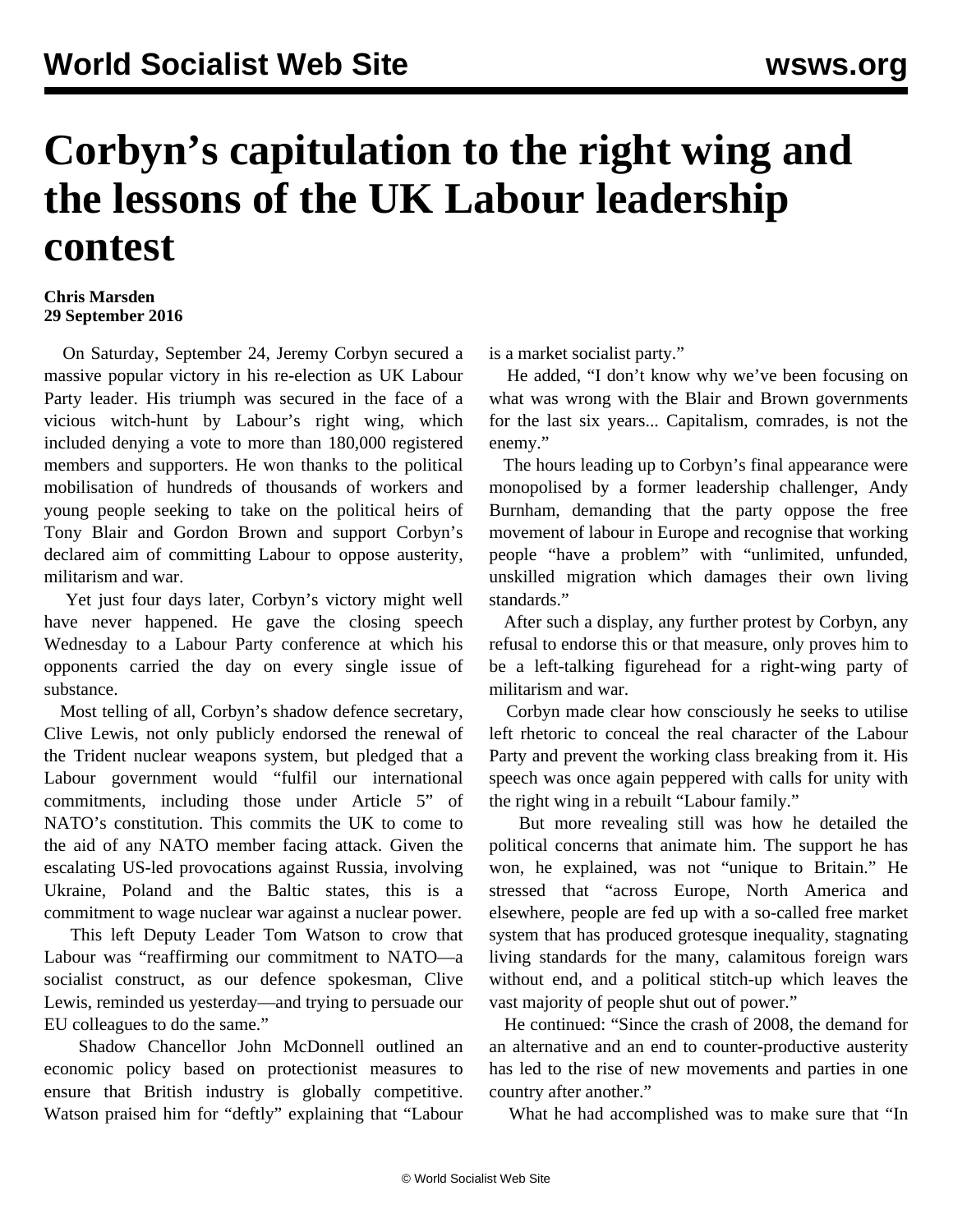## **Corbyn's capitulation to the right wing and the lessons of the UK Labour leadership contest**

## **Chris Marsden 29 September 2016**

 On Saturday, September 24, Jeremy Corbyn secured a massive popular victory in his re-election as UK Labour Party leader. His triumph was secured in the face of a vicious witch-hunt by Labour's right wing, which included denying a vote to more than 180,000 registered members and supporters. He won thanks to the political mobilisation of hundreds of thousands of workers and young people seeking to take on the political heirs of Tony Blair and Gordon Brown and support Corbyn's declared aim of committing Labour to oppose austerity, militarism and war.

 Yet just four days later, Corbyn's victory might well have never happened. He gave the closing speech Wednesday to a Labour Party conference at which his opponents carried the day on every single issue of substance.

 Most telling of all, Corbyn's shadow defence secretary, Clive Lewis, not only publicly endorsed the renewal of the Trident nuclear weapons system, but pledged that a Labour government would "fulfil our international commitments, including those under Article 5" of NATO's constitution. This commits the UK to come to the aid of any NATO member facing attack. Given the escalating US-led provocations against Russia, involving Ukraine, Poland and the Baltic states, this is a commitment to wage nuclear war against a nuclear power.

 This left Deputy Leader Tom Watson to crow that Labour was "reaffirming our commitment to NATO—a socialist construct, as our defence spokesman, Clive Lewis, reminded us yesterday—and trying to persuade our EU colleagues to do the same."

 Shadow Chancellor John McDonnell outlined an economic policy based on protectionist measures to ensure that British industry is globally competitive. Watson praised him for "deftly" explaining that "Labour

is a market socialist party."

 He added, "I don't know why we've been focusing on what was wrong with the Blair and Brown governments for the last six years... Capitalism, comrades, is not the enemy."

 The hours leading up to Corbyn's final appearance were monopolised by a former leadership challenger, Andy Burnham, demanding that the party oppose the free movement of labour in Europe and recognise that working people "have a problem" with "unlimited, unfunded, unskilled migration which damages their own living standards."

 After such a display, any further protest by Corbyn, any refusal to endorse this or that measure, only proves him to be a left-talking figurehead for a right-wing party of militarism and war.

 Corbyn made clear how consciously he seeks to utilise left rhetoric to conceal the real character of the Labour Party and prevent the working class breaking from it. His speech was once again peppered with calls for unity with the right wing in a rebuilt "Labour family."

 But more revealing still was how he detailed the political concerns that animate him. The support he has won, he explained, was not "unique to Britain." He stressed that "across Europe, North America and elsewhere, people are fed up with a so-called free market system that has produced grotesque inequality, stagnating living standards for the many, calamitous foreign wars without end, and a political stitch-up which leaves the vast majority of people shut out of power."

 He continued: "Since the crash of 2008, the demand for an alternative and an end to counter-productive austerity has led to the rise of new movements and parties in one country after another."

What he had accomplished was to make sure that "In